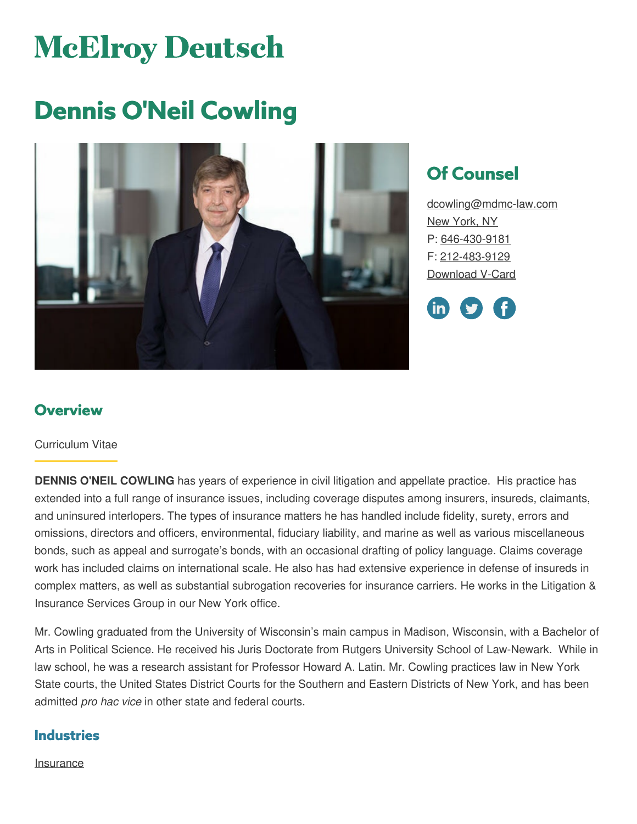# **McElroy Deutsch**

## **Dennis O'Neil Cowling**



## **Of Counsel**

[dcowling@mdmc-law.com](mailto:dcowling@mdmc-law.com) New [York,](https://www.mdmc-law.com/offices/new-york) NY P: [646-430-9181](tel:646-430-9181) F: [212-483-9129](tel:212-483-9129) [Download](https://www.mdmc-law.com/node/435/vcard) V-Card

<u>in</u>

## **Overview**

#### Curriculum Vitae

**DENNIS O'NEIL COWLING** has years of experience in civil litigation and appellate practice. His practice has extended into a full range of insurance issues, including coverage disputes among insurers, insureds, claimants, and uninsured interlopers. The types of insurance matters he has handled include fidelity, surety, errors and omissions, directors and officers, environmental, fiduciary liability, and marine as well as various miscellaneous bonds, such as appeal and surrogate's bonds, with an occasional drafting of policy language. Claims coverage work has included claims on international scale. He also has had extensive experience in defense of insureds in complex matters, as well as substantial subrogation recoveries for insurance carriers. He works in the Litigation & Insurance Services Group in our New York office.

Mr. Cowling graduated from the University of Wisconsin's main campus in Madison, Wisconsin, with a Bachelor of Arts in Political Science. He received his Juris Doctorate from Rutgers University School of Law-Newark. While in law school, he was a research assistant for Professor Howard A. Latin. Mr. Cowling practices law in New York State courts, the United States District Courts for the Southern and Eastern Districts of New York, and has been admitted *pro hac vice* in other state and federal courts.

#### **Industries**

**[Insurance](https://www.mdmc-law.com/industries/insurance)**